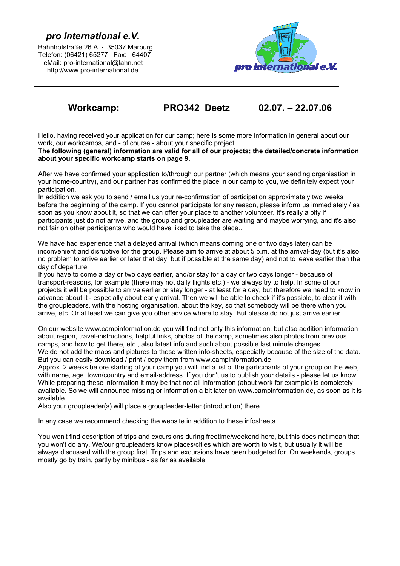# *pro international e.V.*

Bahnhofstraße 26 A · 35037 Marburg Telefon: (06421) 65277 Fax: 64407 eMail: pro-international@lahn.net http://www.pro-international.de



# **Workcamp: PRO342 Deetz 02.07. – 22.07.06**

Hello, having received your application for our camp; here is some more information in general about our work, our workcamps, and - of course - about your specific project.

**The following (general) information are valid for all of our projects; the detailed/concrete information about your specific workcamp starts on page 9.**

After we have confirmed your application to/through our partner (which means your sending organisation in your home-country), and our partner has confirmed the place in our camp to you, we definitely expect your participation.

In addition we ask you to send / email us your re-confirmation of participation approximately two weeks before the beginning of the camp. If you cannot participate for any reason, please inform us immediately / as soon as you know about it, so that we can offer your place to another volunteer. It's really a pity if participants just do not arrive, and the group and groupleader are waiting and maybe worrying, and it's also not fair on other participants who would have liked to take the place...

We have had experience that a delayed arrival (which means coming one or two days later) can be inconvenient and disruptive for the group. Please aim to arrive at about 5 p.m. at the arrival-day (but it's also no problem to arrive earlier or later that day, but if possible at the same day) and not to leave earlier than the day of departure.

If you have to come a day or two days earlier, and/or stay for a day or two days longer - because of transport-reasons, for example (there may not daily flights etc.) - we always try to help. In some of our projects it will be possible to arrive earlier or stay longer - at least for a day, but therefore we need to know in advance about it - especially about early arrival. Then we will be able to check if it's possible, to clear it with the groupleaders, with the hosting organisation, about the key, so that somebody will be there when you arrive, etc. Or at least we can give you other advice where to stay. But please do not just arrive earlier.

On our website www.campinformation.de you will find not only this information, but also addition information about region, travel-instructions, helpful links, photos of the camp, sometimes also photos from previous camps, and how to get there, etc., also latest info and such about possible last minute changes. We do not add the maps and pictures to these written info-sheets, especially because of the size of the data. But you can easily download / print / copy them from www.campinformation.de.

Approx. 2 weeks before starting of your camp you will find a list of the participants of your group on the web, with name, age, town/country and email-address. If you don't us to publish your details - please let us know. While preparing these information it may be that not all information (about work for example) is completely available. So we will announce missing or information a bit later on www.campinformation.de, as soon as it is available.

Also your groupleader(s) will place a groupleader-letter (introduction) there.

In any case we recommend checking the website in addition to these infosheets.

You won't find description of trips and excursions during freetime/weekend here, but this does not mean that you won't do any. We/our groupleaders know places/cities which are worth to visit, but usually it will be always discussed with the group first. Trips and excursions have been budgeted for. On weekends, groups mostly go by train, partly by minibus - as far as available.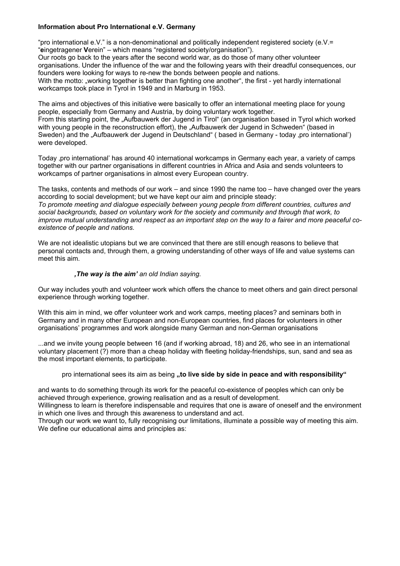## **Information about Pro International e.V. Germany**

"pro international e.V." is a non-denominational and politically independent registered society (e.V.= "**e**ingetragener **V**erein" – which means "registered society/organisation"). Our roots go back to the years after the second world war, as do those of many other volunteer organisations. Under the influence of the war and the following years with their dreadful consequences, our founders were looking for ways to re-new the bonds between people and nations. With the motto: "working together is better than fighting one another", the first - yet hardly international workcamps took place in Tyrol in 1949 and in Marburg in 1953.

The aims and objectives of this initiative were basically to offer an international meeting place for young people, especially from Germany and Austria, by doing voluntary work together. From this starting point, the "Aufbauwerk der Jugend in Tirol" (an organisation based in Tyrol which worked with young people in the reconstruction effort), the "Aufbauwerk der Jugend in Schweden" (based in Sweden) and the "Aufbauwerk der Jugend in Deutschland" (based in Germany - today ,pro international') were developed.

Today ,pro international' has around 40 international workcamps in Germany each year, a variety of camps together with our partner organisations in different countries in Africa and Asia and sends volunteers to workcamps of partner organisations in almost every European country.

The tasks, contents and methods of our work – and since 1990 the name too – have changed over the years according to social development; but we have kept our aim and principle steady: *To promote meeting and dialogue especially between young people from different countries, cultures and social backgrounds, based on voluntary work for the society and community and through that work, to improve mutual understanding and respect as an important step on the way to a fairer and more peaceful coexistence of people and nations.*

We are not idealistic utopians but we are convinced that there are still enough reasons to believe that personal contacts and, through them, a growing understanding of other ways of life and value systems can meet this aim.

#### *'The way is the aim' an old Indian saying.*

Our way includes youth and volunteer work which offers the chance to meet others and gain direct personal experience through working together.

With this aim in mind, we offer volunteer work and work camps, meeting places? and seminars both in Germany and in many other European and non-European countries, find places for volunteers in other organisations' programmes and work alongside many German and non-German organisations

...and we invite young people between 16 (and if working abroad, 18) and 26, who see in an international voluntary placement (?) more than a cheap holiday with fleeting holiday-friendships, sun, sand and sea as the most important elements, to participate.

#### pro international sees its aim as being **.to live side by side in peace and with responsibility**"

and wants to do something through its work for the peaceful co-existence of peoples which can only be achieved through experience, growing realisation and as a result of development.

Willingness to learn is therefore indispensable and requires that one is aware of oneself and the environment in which one lives and through this awareness to understand and act.

Through our work we want to, fully recognising our limitations, illuminate a possible way of meeting this aim. We define our educational aims and principles as: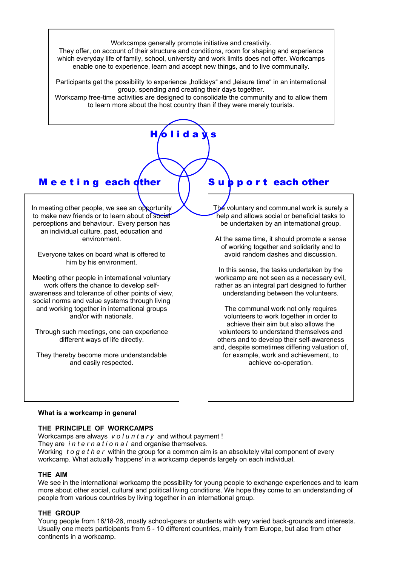Workcamps generally promote initiative and creativity.

They offer, on account of their structure and conditions, room for shaping and experience which everyday life of family, school, university and work limits does not offer. Workcamps enable one to experience, learn and accept new things, and to live communally.

Participants get the possibility to experience "holidays" and "leisure time" in an international group, spending and creating their days together.

Workcamp free-time activities are designed to consolidate the community and to allow them to learn more about the host country than if they were merely tourists.

 $H/ol$  id a  $\lambda$  s

# M e e t i n g each other

In meeting other people, we see an opportunity to make new friends or to learn about of social perceptions and behaviour. Every person has an individual culture, past, education and environment.

Everyone takes on board what is offered to him by his environment.

Meeting other people in international voluntary work offers the chance to develop selfawareness and tolerance of other points of view, social norms and value systems through living and working together in international groups and/or with nationals.

Through such meetings, one can experience different ways of life directly.

They thereby become more understandable and easily respected.

# Subport each other

The voluntary and communal work is surely a help and allows social or beneficial tasks to be undertaken by an international group.

At the same time, it should promote a sense of working together and solidarity and to avoid random dashes and discussion.

In this sense, the tasks undertaken by the workcamp are not seen as a necessary evil, rather as an integral part designed to further understanding between the volunteers.

The communal work not only requires volunteers to work together in order to achieve their aim but also allows the volunteers to understand themselves and others and to develop their self-awareness and, despite sometimes differing valuation of, for example, work and achievement, to achieve co-operation.

## **What is a workcamp in general**

## **THE PRINCIPLE OF WORKCAMPS**

Workcamps are always *v o l u n t a r y* and without payment ! They are *international* and organise themselves. Working *t o g e t h e r* within the group for a common aim is an absolutely vital component of every workcamp. What actually 'happens' in a workcamp depends largely on each individual.

## **THE AIM**

We see in the international workcamp the possibility for young people to exchange experiences and to learn more about other social, cultural and political living conditions. We hope they come to an understanding of people from various countries by living together in an international group.

## **THE GROUP**

Young people from 16/18-26, mostly school-goers or students with very varied back-grounds and interests. Usually one meets participants from 5 - 10 different countries, mainly from Europe, but also from other continents in a workcamp.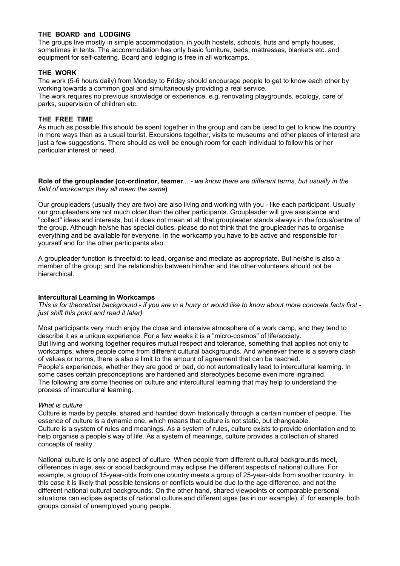## **THE BOARD and LODGING**

The groups live mostly in simple accommodation, in youth hostels, schools, huts and empty houses, sometimes in tents. The accommodation has only basic furniture, beds, mattresses, blankets etc. and equipment for self-catering. Board and lodging is free in all workcamps.

#### **THE WORK**

The work (5-6 hours daily) from Monday to Friday should encourage people to get to know each other by working towards a common goal and simultaneously providing a real service.

The work requires no previous knowledge or experience, e.g. renovating playgrounds, ecology, care of parks, supervision of children etc.

#### **THE FREE TIME**

As much as possible this should be spent together in the group and can be used to get to know the country in more ways than as a usual tourist. Excursions together, visits to museums and other places of interest are just a few suggestions. There should as well be enough room for each individual to follow his or her particular interest or need.

#### **Role of the groupleader (co-ordinator, teamer***... - we know there are different terms, but usually in the field of workcamps they all mean the same***)**

Our groupleaders (usually they are two) are also living and working with you - like each participant. Usually our groupleaders are not much older than the other participants. Groupleader will give assistance and "collect" ideas and interests, but it does not mean at all that groupleader stands always in the focus/centre of the group. Although he/she has special duties, please do not think that the groupleader has to organise everything and be available for everyone. In the workcamp you have to be active and responsible for yourself and for the other participants also.

A groupleader function is threefold: to lead, organise and mediate as appropriate. But he/she is also a member of the group; and the relationship between him/her and the other volunteers should not be hierarchical.

#### **Intercultural Learning in Workcamps**

*This is for theoretical background - if you are in a hurry or would like to know about more concrete facts first just shift this point and read it later)*

Most participants very much enjoy the close and intensive atmosphere of a work camp, and they tend to describe it as a unique experience. For a few weeks it is a "micro-cosmos" of life/society. But living and working together requires mutual respect and tolerance, something that applies not only to workcamps, where people come from different cultural backgrounds. And whenever there is a severe clash of values or norms, there is also a limit to the amount of agreement that can be reached. People's experiences, whether they are good or bad, do not automatically lead to intercultural learning. In some cases certain preconceptions are hardened and stereotypes become even more ingrained. The following are some theories on culture and intercultural learning that may help to understand the process of intercultural learning.

#### *What is culture*

Culture is made by people, shared and handed down historically through a certain number of people. The essence of culture is a dynamic one, which means that culture is not static, but changeable. Culture is a system of rules and meanings. As a system of rules, culture exists to provide orientation and to help organise a people's way of life. As a system of meanings, culture provides a collection of shared concepts of reality.

National culture is only one aspect of culture. When people from different cultural backgrounds meet, differences in age, sex or social background may eclipse the different aspects of national culture. For example, a group of 15-year-olds from one country meets a group of 25-year-olds from another country. In this case it is likely that possible tensions or conflicts would be due to the age difference, and not the different national cultural backgrounds. On the other hand, shared viewpoints or comparable personal situations can eclipse aspects of national culture and different ages (as in our example), if, for example, both groups consist of unemployed young people.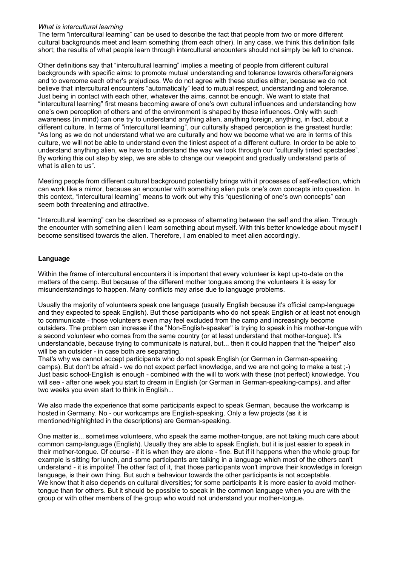#### *What is intercultural learning*

The term "intercultural learning" can be used to describe the fact that people from two or more different cultural backgrounds meet and learn something (from each other). In any case, we think this definition falls short; the results of what people learn through intercultural encounters should not simply be left to chance.

Other definitions say that "intercultural learning" implies a meeting of people from different cultural backgrounds with specific aims: to promote mutual understanding and tolerance towards others/foreigners and to overcome each other's prejudices. We do not agree with these studies either, because we do not believe that intercultural encounters "automatically" lead to mutual respect, understanding and tolerance. Just being in contact with each other, whatever the aims, cannot be enough. We want to state that "intercultural learning" first means becoming aware of one's own cultural influences and understanding how one's own perception of others and of the environment is shaped by these influences. Only with such awareness (in mind) can one try to understand anything alien, anything foreign, anything, in fact, about a different culture. In terms of "intercultural learning", our culturally shaped perception is the greatest hurdle: "As long as we do not understand what we are culturally and how we become what we are in terms of this culture, we will not be able to understand even the tiniest aspect of a different culture. In order to be able to understand anything alien, we have to understand the way we look through our "culturally tinted spectacles". By working this out step by step, we are able to change our viewpoint and gradually understand parts of what is alien to us".

Meeting people from different cultural background potentially brings with it processes of self-reflection, which can work like a mirror, because an encounter with something alien puts one's own concepts into question. In this context, "intercultural learning" means to work out why this "questioning of one's own concepts" can seem both threatening and attractive.

"Intercultural learning" can be described as a process of alternating between the self and the alien. Through the encounter with something alien I learn something about myself. With this better knowledge about myself I become sensitised towards the alien. Therefore, I am enabled to meet alien accordingly.

## **Language**

Within the frame of intercultural encounters it is important that every volunteer is kept up-to-date on the matters of the camp. But because of the different mother tongues among the volunteers it is easy for misunderstandings to happen. Many conflicts may arise due to language problems.

Usually the majority of volunteers speak one language (usually English because it's official camp-language and they expected to speak English). But those participants who do not speak English or at least not enough to communicate - those volunteers even may feel excluded from the camp and increasingly become outsiders. The problem can increase if the "Non-English-speaker" is trying to speak in his mother-tongue with a second volunteer who comes from the same country (or at least understand that mother-tongue). It's understandable, because trying to communicate is natural, but... then it could happen that the "helper" also will be an outsider - in case both are separating.

That's why we cannot accept participants who do not speak English (or German in German-speaking camps). But don't be afraid - we do not expect perfect knowledge, and we are not going to make a test ;-) Just basic school-English is enough - combined with the will to work with these (not perfect) knowledge. You will see - after one week you start to dream in English (or German in German-speaking-camps), and after two weeks you even start to think in English...

We also made the experience that some participants expect to speak German, because the workcamp is hosted in Germany. No - our workcamps are English-speaking. Only a few projects (as it is mentioned/highlighted in the descriptions) are German-speaking.

One matter is... sometimes volunteers, who speak the same mother-tongue, are not taking much care about common camp-language (English). Usually they are able to speak English, but it is just easier to speak in their mother-tongue. Of course - if it is when they are alone - fine. But if it happens when the whole group for example is sitting for lunch, and some participants are talking in a language which most of the others can't understand - it is impolite! The other fact of it, that those participants won't improve their knowledge in foreign language, is their own thing. But such a behaviour towards the other participants is not acceptable. We know that it also depends on cultural diversities; for some participants it is more easier to avoid mothertongue than for others. But it should be possible to speak in the common language when you are with the group or with other members of the group who would not understand your mother-tongue.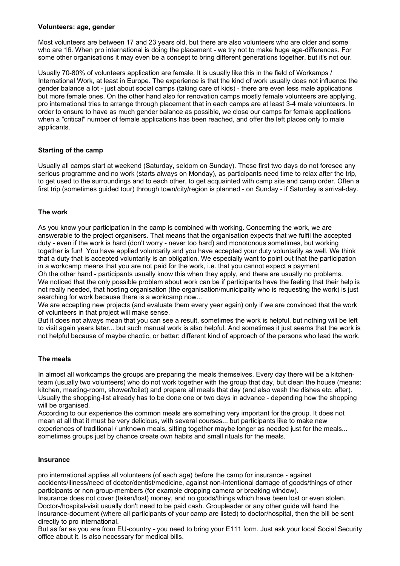#### **Volunteers: age, gender**

Most volunteers are between 17 and 23 years old, but there are also volunteers who are older and some who are 16. When pro international is doing the placement - we try not to make huge age-differences. For some other organisations it may even be a concept to bring different generations together, but it's not our.

Usually 70-80% of volunteers application are female. It is usually like this in the field of Workamps / International Work, at least in Europe. The experience is that the kind of work usually does not influence the gender balance a lot - just about social camps (taking care of kids) - there are even less male applications but more female ones. On the other hand also for renovation camps mostly female volunteers are applying. pro international tries to arrange through placement that in each camps are at least 3-4 male volunteers. In order to ensure to have as much gender balance as possible, we close our camps for female applications when a "critical" number of female applications has been reached, and offer the left places only to male applicants.

## **Starting of the camp**

Usually all camps start at weekend (Saturday, seldom on Sunday). These first two days do not foresee any serious programme and no work (starts always on Monday), as participants need time to relax after the trip, to get used to the surroundings and to each other, to get acquainted with camp site and camp order. Often a first trip (sometimes guided tour) through town/city/region is planned - on Sunday - if Saturday is arrival-day.

## **The work**

As you know your participation in the camp is combined with working. Concerning the work, we are answerable to the project organisers. That means that the organisation expects that we fulfil the accepted duty - even if the work is hard (don't worry - never too hard) and monotonous sometimes, but working together is fun! You have applied voluntarily and you have accepted your duty voluntarily as well. We think that a duty that is accepted voluntarily is an obligation. We especially want to point out that the participation in a workcamp means that you are not paid for the work, i.e. that you cannot expect a payment. Oh the other hand - participants usually know this when they apply, and there are usually no problems.

We noticed that the only possible problem about work can be if participants have the feeling that their help is not really needed, that hosting organisation (the organisation/municipality who is requesting the work) is just searching for work because there is a workcamp now...

We are accepting new projects (and evaluate them every year again) only if we are convinced that the work of volunteers in that project will make sense.

But it does not always mean that you can see a result, sometimes the work is helpful, but nothing will be left to visit again years later... but such manual work is also helpful. And sometimes it just seems that the work is not helpful because of maybe chaotic, or better: different kind of approach of the persons who lead the work.

## **The meals**

In almost all workcamps the groups are preparing the meals themselves. Every day there will be a kitchenteam (usually two volunteers) who do not work together with the group that day, but clean the house (means: kitchen, meeting-room, shower/toilet) and prepare all meals that day (and also wash the dishes etc. after). Usually the shopping-list already has to be done one or two days in advance - depending how the shopping will be organised.

According to our experience the common meals are something very important for the group. It does not mean at all that it must be very delicious, with several courses... but participants like to make new experiences of traditional / unknown meals, sitting together maybe longer as needed just for the meals... sometimes groups just by chance create own habits and small rituals for the meals.

## **Insurance**

pro international applies all volunteers (of each age) before the camp for insurance - against accidents/illness/need of doctor/dentist/medicine, against non-intentional damage of goods/things of other participants or non-group-members (for example dropping camera or breaking window).

Insurance does not cover (taken/lost) money, and no goods/things which have been lost or even stolen. Doctor-/hospital-visit usually don't need to be paid cash. Groupleader or any other guide will hand the insurance-document (where all participants of your camp are listed) to doctor/hospital, then the bill be sent directly to pro international.

But as far as you are from EU-country - you need to bring your E111 form. Just ask your local Social Security office about it. Is also necessary for medical bills.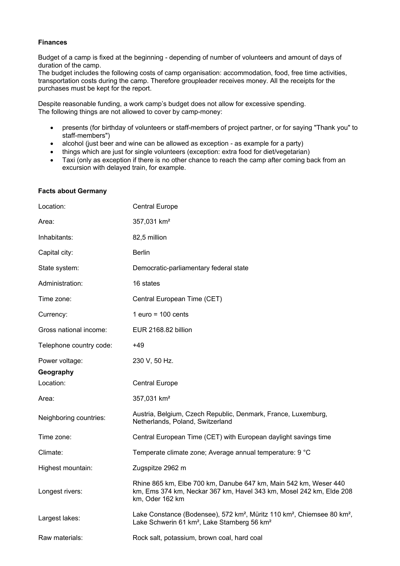#### **Finances**

Budget of a camp is fixed at the beginning - depending of number of volunteers and amount of days of duration of the camp.

The budget includes the following costs of camp organisation: accommodation, food, free time activities, transportation costs during the camp. Therefore groupleader receives money. All the receipts for the purchases must be kept for the report.

Despite reasonable funding, a work camp's budget does not allow for excessive spending. The following things are not allowed to cover by camp-money:

- presents (for birthday of volunteers or staff-members of project partner, or for saying "Thank you" to staff-members")
- alcohol (just beer and wine can be allowed as exception as example for a party)
- things which are just for single volunteers (exception: extra food for diet/vegetarian)
- Taxi (only as exception if there is no other chance to reach the camp after coming back from an excursion with delayed train, for example.

| Location:               | <b>Central Europe</b>                                                                                                                                                               |
|-------------------------|-------------------------------------------------------------------------------------------------------------------------------------------------------------------------------------|
| Area:                   | 357,031 km <sup>2</sup>                                                                                                                                                             |
| Inhabitants:            | 82,5 million                                                                                                                                                                        |
| Capital city:           | <b>Berlin</b>                                                                                                                                                                       |
| State system:           | Democratic-parliamentary federal state                                                                                                                                              |
| Administration:         | 16 states                                                                                                                                                                           |
| Time zone:              | Central European Time (CET)                                                                                                                                                         |
| Currency:               | 1 euro = $100$ cents                                                                                                                                                                |
| Gross national income:  | EUR 2168.82 billion                                                                                                                                                                 |
| Telephone country code: | $+49$                                                                                                                                                                               |
| Power voltage:          | 230 V, 50 Hz.                                                                                                                                                                       |
| Geography               |                                                                                                                                                                                     |
| Location:               | <b>Central Europe</b>                                                                                                                                                               |
| Area:                   | 357,031 km <sup>2</sup>                                                                                                                                                             |
| Neighboring countries:  | Austria, Belgium, Czech Republic, Denmark, France, Luxemburg,<br>Netherlands, Poland, Switzerland                                                                                   |
| Time zone:              | Central European Time (CET) with European daylight savings time                                                                                                                     |
| Climate:                | Temperate climate zone; Average annual temperature: 9 °C                                                                                                                            |
| Highest mountain:       | Zugspitze 2962 m                                                                                                                                                                    |
| Longest rivers:         | Rhine 865 km, Elbe 700 km, Danube 647 km, Main 542 km, Weser 440<br>km, Ems 374 km, Neckar 367 km, Havel 343 km, Mosel 242 km, Elde 208<br>km, Oder 162 km                          |
| Largest lakes:          | Lake Constance (Bodensee), 572 km <sup>2</sup> , Müritz 110 km <sup>2</sup> , Chiemsee 80 km <sup>2</sup> ,<br>Lake Schwerin 61 km <sup>2</sup> , Lake Starnberg 56 km <sup>2</sup> |
| Raw materials:          | Rock salt, potassium, brown coal, hard coal                                                                                                                                         |

# **Facts about Germany**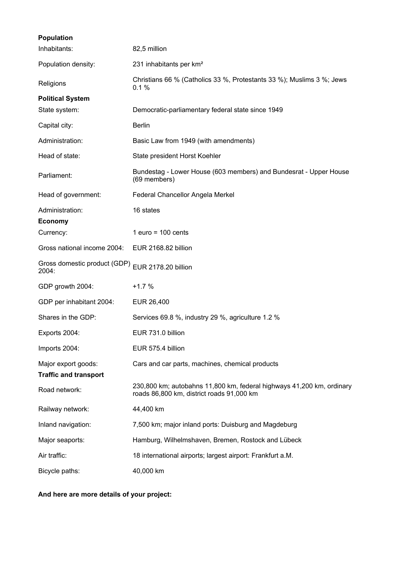| <b>Population</b>                                   |                                                                                                                    |
|-----------------------------------------------------|--------------------------------------------------------------------------------------------------------------------|
| Inhabitants:                                        | 82,5 million                                                                                                       |
| Population density:                                 | 231 inhabitants per km <sup>2</sup>                                                                                |
| Religions                                           | Christians 66 % (Catholics 33 %, Protestants 33 %); Muslims 3 %; Jews<br>0.1%                                      |
| <b>Political System</b>                             |                                                                                                                    |
| State system:                                       | Democratic-parliamentary federal state since 1949                                                                  |
| Capital city:                                       | <b>Berlin</b>                                                                                                      |
| Administration:                                     | Basic Law from 1949 (with amendments)                                                                              |
| Head of state:                                      | State president Horst Koehler                                                                                      |
| Parliament:                                         | Bundestag - Lower House (603 members) and Bundesrat - Upper House<br>(69 members)                                  |
| Head of government:                                 | Federal Chancellor Angela Merkel                                                                                   |
| Administration:                                     | 16 states                                                                                                          |
| <b>Economy</b>                                      |                                                                                                                    |
| Currency:                                           | 1 euro = $100$ cents                                                                                               |
| Gross national income 2004:                         | EUR 2168.82 billion                                                                                                |
| Gross domestic product (GDP)<br>2004:               | EUR 2178.20 billion                                                                                                |
| GDP growth 2004:                                    | $+1.7%$                                                                                                            |
| GDP per inhabitant 2004:                            | EUR 26,400                                                                                                         |
| Shares in the GDP:                                  | Services 69.8 %, industry 29 %, agriculture 1.2 %                                                                  |
| Exports 2004:                                       | EUR 731.0 billion                                                                                                  |
| Imports 2004:                                       | EUR 575.4 billion                                                                                                  |
| Major export goods:<br><b>Traffic and transport</b> | Cars and car parts, machines, chemical products                                                                    |
| Road network:                                       | 230,800 km; autobahns 11,800 km, federal highways 41,200 km, ordinary<br>roads 86,800 km, district roads 91,000 km |
| Railway network:                                    | 44,400 km                                                                                                          |
| Inland navigation:                                  | 7,500 km; major inland ports: Duisburg and Magdeburg                                                               |
| Major seaports:                                     | Hamburg, Wilhelmshaven, Bremen, Rostock and Lübeck                                                                 |
| Air traffic:                                        | 18 international airports; largest airport: Frankfurt a.M.                                                         |
| Bicycle paths:                                      | 40,000 km                                                                                                          |

**And here are more details of your project:**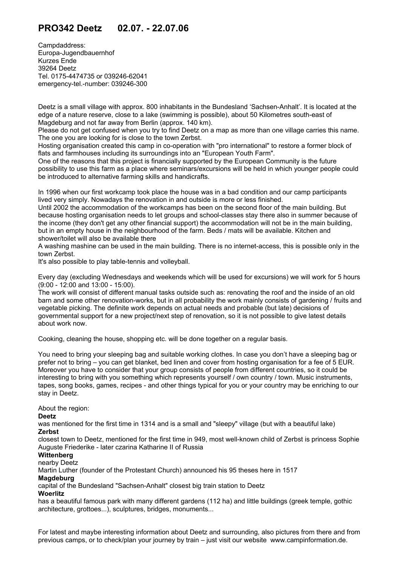# **PRO342 Deetz 02.07. - 22.07.06**

Campdaddress: Europa-Jugendbauernhof Kurzes Ende 39264 Deetz Tel. 0175-4474735 or 039246-62041 emergency-tel.-number: 039246-300

Deetz is a small village with approx. 800 inhabitants in the Bundesland 'Sachsen-Anhalt'. It is located at the edge of a nature reserve, close to a lake (swimming is possible), about 50 Kilometres south-east of Magdeburg and not far away from Berlin (approx. 140 km).

Please do not get confused when you try to find Deetz on a map as more than one village carries this name. The one you are looking for is close to the town Zerbst.

Hosting organisation created this camp in co-operation with "pro international" to restore a former block of flats and farmhouses including its surroundings into an "European Youth Farm".

One of the reasons that this project is financially supported by the European Community is the future possibility to use this farm as a place where seminars/excursions will be held in which younger people could be introduced to alternative farming skills and handicrafts.

In 1996 when our first workcamp took place the house was in a bad condition and our camp participants lived very simply. Nowadays the renovation in and outside is more or less finished.

Until 2002 the accommodation of the workcamps has been on the second floor of the main building. But because hosting organisation needs to let groups and school-classes stay there also in summer because of the income (they don't get any other financial support) the accommodation will not be in the main building, but in an empty house in the neighbourhood of the farm. Beds / mats will be available. Kitchen and shower/toilet will also be available there

A washing mashine can be used in the main building. There is no internet-access, this is possible only in the town Zerbst.

It's also possible to play table-tennis and volleyball.

Every day (excluding Wednesdays and weekends which will be used for excursions) we will work for 5 hours (9:00 - 12:00 and 13:00 - 15:00).

The work will consist of different manual tasks outside such as: renovating the roof and the inside of an old barn and some other renovation-works, but in all probability the work mainly consists of gardening / fruits and vegetable picking. The definite work depends on actual needs and probable (but late) decisions of governmental support for a new project/next step of renovation, so it is not possible to give latest details about work now.

Cooking, cleaning the house, shopping etc. will be done together on a regular basis.

You need to bring your sleeping bag and suitable working clothes. In case you don't have a sleeping bag or prefer not to bring – you can get blanket, bed linen and cover from hosting organisation for a fee of 5 EUR. Moreover you have to consider that your group consists of people from different countries, so it could be interesting to bring with you something which represents yourself / own country / town. Music instruments, tapes, song books, games, recipes - and other things typical for you or your country may be enriching to our stay in Deetz.

About the region:

#### **Deetz**

was mentioned for the first time in 1314 and is a small and "sleepy" village (but with a beautiful lake) **Zerbst**

closest town to Deetz, mentioned for the first time in 949, most well-known child of Zerbst is princess Sophie Auguste Friederike - later czarina Katharine II of Russia

## **Wittenberg**

nearby Deetz

Martin Luther (founder of the Protestant Church) announced his 95 theses here in 1517

## **Magdeburg**

capital of the Bundesland "Sachsen-Anhalt" closest big train station to Deetz

**Woerlitz**

has a beautiful famous park with many different gardens (112 ha) and little buildings (greek temple, gothic architecture, grottoes...), sculptures, bridges, monuments...

For latest and maybe interesting information about Deetz and surrounding, also pictures from there and from previous camps, or to check/plan your journey by train – just visit our website [www.campinformation.de.](http://www.campinformation.info/)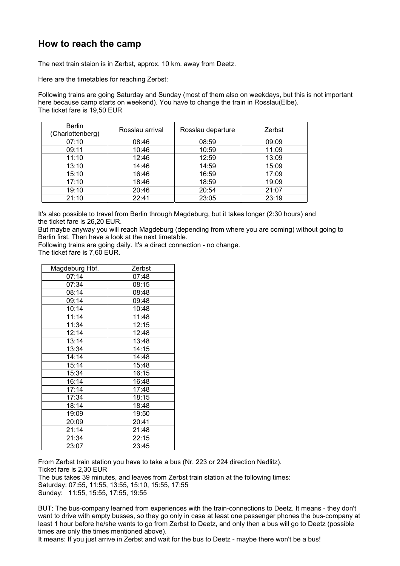# **How to reach the camp**

The next train staion is in Zerbst, approx. 10 km. away from Deetz.

Here are the timetables for reaching Zerbst:

Following trains are going Saturday and Sunday (most of them also on weekdays, but this is not important here because camp starts on weekend). You have to change the train in Rosslau(Elbe). The ticket fare is 19,50 EUR

| <b>Berlin</b><br>(Charlottenberg) | Rosslau arrival | Rosslau departure | Zerbst |  |
|-----------------------------------|-----------------|-------------------|--------|--|
| 07:10                             | 08:46           | 08:59             | 09:09  |  |
| 09:11                             | 10:46           | 10:59             | 11:09  |  |
| 11:10                             | 12:46           | 12:59             | 13:09  |  |
| 13:10                             | 14:46           | 14:59             | 15:09  |  |
| 15:10                             | 16:46           | 16:59             | 17:09  |  |
| 17:10                             | 18:46           | 18:59             | 19:09  |  |
| 19:10                             | 20:46           | 20:54             | 21:07  |  |
| 21:10                             | 22:41           | 23:05             | 23:19  |  |

It's also possible to travel from Berlin through Magdeburg, but it takes longer (2:30 hours) and the ticket fare is 26,20 EUR.

But maybe anyway you will reach Magdeburg (depending from where you are coming) without going to Berlin first. Then have a look at the next timetable.

Following trains are going daily. It's a direct connection - no change. The ticket fare is 7,60 EUR.

| Magdeburg Hbf. | Zerbst |  |  |  |
|----------------|--------|--|--|--|
| 07:14          | 07:48  |  |  |  |
| 07:34          | 08:15  |  |  |  |
| 08:14          | 08:48  |  |  |  |
| 09:14          | 09:48  |  |  |  |
| 10:14          | 10:48  |  |  |  |
| 11:14          | 11:48  |  |  |  |
| 11:34          | 12:15  |  |  |  |
| 12:14          | 12:48  |  |  |  |
| 13:14          | 13:48  |  |  |  |
| 13:34          | 14:15  |  |  |  |
| 14:14          | 14:48  |  |  |  |
| 15:14          | 15:48  |  |  |  |
| 15:34          | 16:15  |  |  |  |
| 16:14          | 16:48  |  |  |  |
| 17:14          | 17:48  |  |  |  |
| 17:34          | 18:15  |  |  |  |
| 18:14          | 18:48  |  |  |  |
| 19:09          | 19:50  |  |  |  |
| 20:09          | 20:41  |  |  |  |
| 21:14          | 21:48  |  |  |  |
| 21:34          | 22:15  |  |  |  |
| 23:07          | 23:45  |  |  |  |

From Zerbst train station you have to take a bus (Nr. 223 or 224 direction Nedlitz). Ticket fare is 2,30 EUR The bus takes 39 minutes, and leaves from Zerbst train station at the following times: Saturday: 07:55, 11:55, 13:55, 15:10, 15:55, 17:55

Sunday: 11:55, 15:55, 17:55, 19:55

BUT: The bus-company learned from experiences with the train-connections to Deetz. It means - they don't want to drive with empty busses, so they go only in case at least one passenger phones the bus-company at least 1 hour before he/she wants to go from Zerbst to Deetz, and only then a bus will go to Deetz (possible times are only the times mentioned above).

It means: If you just arrive in Zerbst and wait for the bus to Deetz - maybe there won't be a bus!